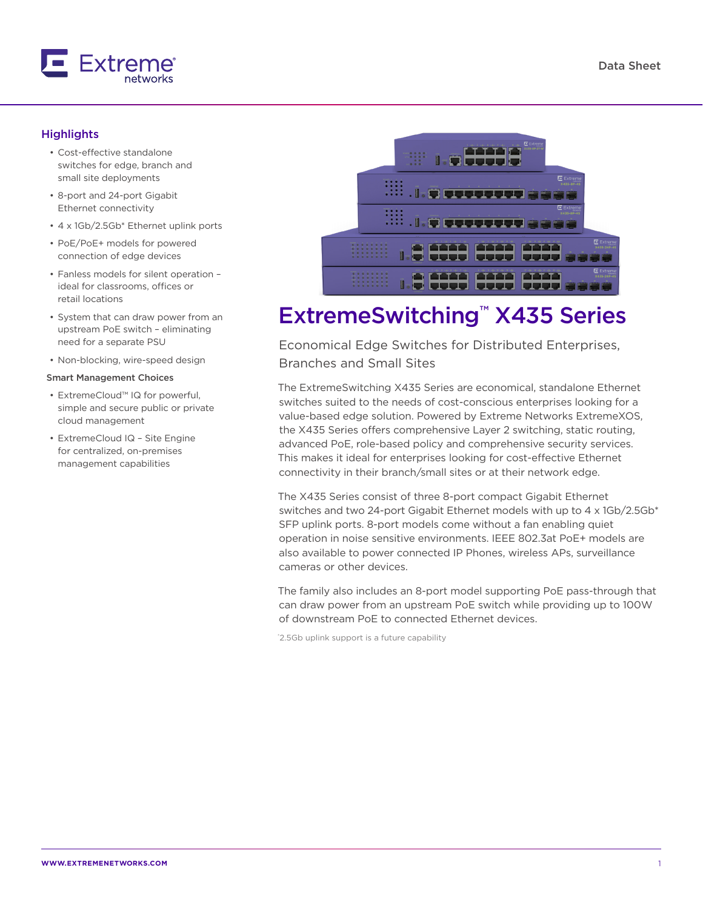

## **Highlights**

- Cost-effective standalone switches for edge, branch and small site deployments
- 8-port and 24-port Gigabit Ethernet connectivity
- 4 x 1Gb/2.5Gb\* Ethernet uplink ports
- PoE/PoE+ models for powered connection of edge devices
- Fanless models for silent operation ideal for classrooms, offices or retail locations
- System that can draw power from an upstream PoE switch – eliminating need for a separate PSU
- Non-blocking, wire-speed design

#### Smart Management Choices

- ExtremeCloud™ IQ for powerful, simple and secure public or private cloud management
- ExtremeCloud IQ Site Engine for centralized, on-premises management capabilities



# ExtremeSwitching™ X435 Series

Economical Edge Switches for Distributed Enterprises, Branches and Small Sites

The ExtremeSwitching X435 Series are economical, standalone Ethernet switches suited to the needs of cost-conscious enterprises looking for a value-based edge solution. Powered by Extreme Networks ExtremeXOS, the X435 Series offers comprehensive Layer 2 switching, static routing, advanced PoE, role-based policy and comprehensive security services. This makes it ideal for enterprises looking for cost-effective Ethernet connectivity in their branch/small sites or at their network edge.

The X435 Series consist of three 8-port compact Gigabit Ethernet switches and two 24-port Gigabit Ethernet models with up to 4 x 1Gb/2.5Gb\* SFP uplink ports. 8-port models come without a fan enabling quiet operation in noise sensitive environments. IEEE 802.3at PoE+ models are also available to power connected IP Phones, wireless APs, surveillance cameras or other devices.

The family also includes an 8-port model supporting PoE pass-through that can draw power from an upstream PoE switch while providing up to 100W of downstream PoE to connected Ethernet devices.

\* 2.5Gb uplink support is a future capability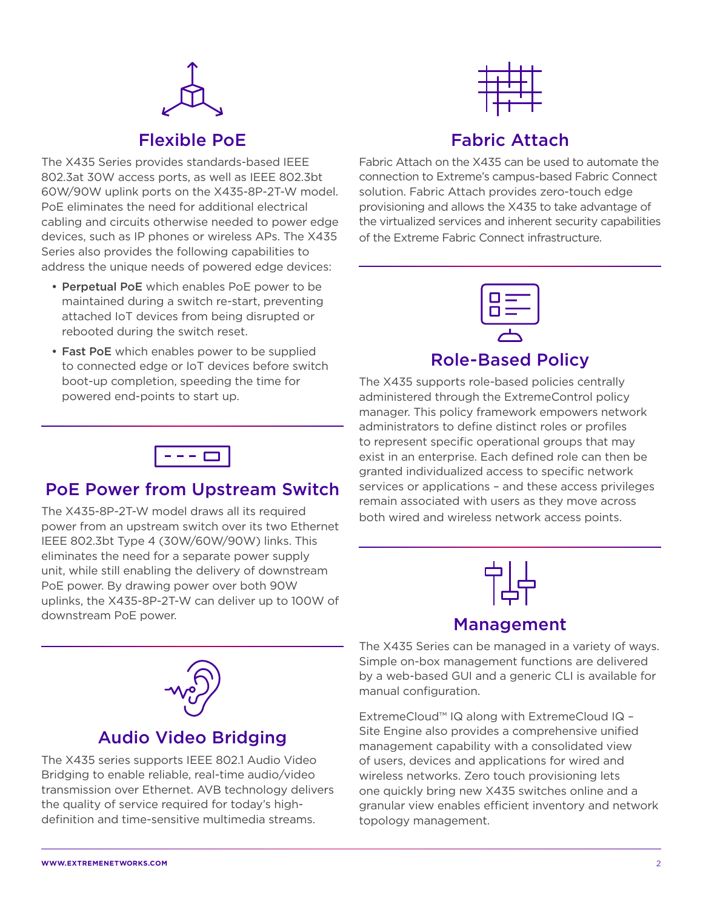

## Flexible PoE

The X435 Series provides standards-based IEEE 802.3at 30W access ports, as well as IEEE 802.3bt 60W/90W uplink ports on the X435-8P-2T-W model. PoE eliminates the need for additional electrical cabling and circuits otherwise needed to power edge devices, such as IP phones or wireless APs. The X435 Series also provides the following capabilities to address the unique needs of powered edge devices:

- Perpetual PoE which enables PoE power to be maintained during a switch re-start, preventing attached IoT devices from being disrupted or rebooted during the switch reset.
- Fast PoE which enables power to be supplied to connected edge or IoT devices before switch boot-up completion, speeding the time for powered end-points to start up.



# Fabric Attach

Fabric Attach on the X435 can be used to automate the connection to Extreme's campus-based Fabric Connect solution. Fabric Attach provides zero-touch edge provisioning and allows the X435 to take advantage of the virtualized services and inherent security capabilities of the Extreme Fabric Connect infrastructure.



## Role-Based Policy

The X435 supports role-based policies centrally administered through the ExtremeControl policy manager. This policy framework empowers network administrators to define distinct roles or profiles to represent specific operational groups that may exist in an enterprise. Each defined role can then be granted individualized access to specific network services or applications – and these access privileges remain associated with users as they move across both wired and wireless network access points.



## Management

The X435 Series can be managed in a variety of ways. Simple on-box management functions are delivered by a web-based GUI and a generic CLI is available for manual configuration.

ExtremeCloud™ IQ along with ExtremeCloud IQ – Site Engine also provides a comprehensive unified management capability with a consolidated view of users, devices and applications for wired and wireless networks. Zero touch provisioning lets one quickly bring new X435 switches online and a granular view enables efficient inventory and network topology management.



## PoE Power from Upstream Switch

The X435-8P-2T-W model draws all its required power from an upstream switch over its two Ethernet IEEE 802.3bt Type 4 (30W/60W/90W) links. This eliminates the need for a separate power supply unit, while still enabling the delivery of downstream PoE power. By drawing power over both 90W uplinks, the X435-8P-2T-W can deliver up to 100W of downstream PoE power.



## Audio Video Bridging

The X435 series supports IEEE 802.1 Audio Video Bridging to enable reliable, real-time audio/video transmission over Ethernet. AVB technology delivers the quality of service required for today's highdefinition and time-sensitive multimedia streams.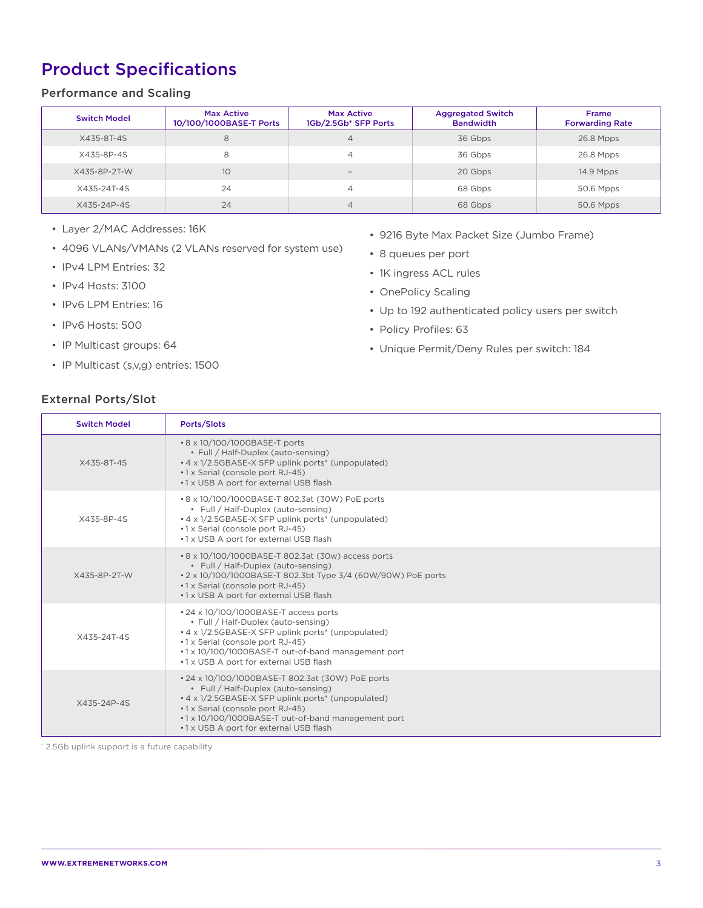# Product Specifications

## Performance and Scaling

| <b>Switch Model</b> | <b>Max Active</b><br>10/100/1000BASE-T Ports | Max Active<br>1Gb/2.5Gb* SFP Ports | <b>Aggregated Switch</b><br><b>Bandwidth</b> | <b>Frame</b><br><b>Forwarding Rate</b> |
|---------------------|----------------------------------------------|------------------------------------|----------------------------------------------|----------------------------------------|
| X435-8T-4S          | 8                                            | 4                                  | 36 Gbps                                      | 26.8 Mpps                              |
| X435-8P-4S          | 8                                            | 4                                  | 36 Gbps                                      | 26.8 Mpps                              |
| X435-8P-2T-W        | 10                                           | $\sim$                             | 20 Gbps                                      | 14.9 Mpps                              |
| X435-24T-4S         | 24                                           | 4                                  | 68 Gbps                                      | 50.6 Mpps                              |
| X435-24P-4S         | 24                                           | 4                                  | 68 Gbps                                      | 50.6 Mpps                              |

- Layer 2/MAC Addresses: 16K
- 4096 VLANs/VMANs (2 VLANs reserved for system use)
- IPv4 LPM Entries: 32
- IPv4 Hosts: 3100
- IPv6 LPM Entries: 16
- IPv6 Hosts: 500
- IP Multicast groups: 64
- IP Multicast (s,v,g) entries: 1500
- 9216 Byte Max Packet Size (Jumbo Frame)
- 8 queues per port
- 1K ingress ACL rules
- OnePolicy Scaling
- Up to 192 authenticated policy users per switch
- Policy Profiles: 63
- Unique Permit/Deny Rules per switch: 184

## External Ports/Slot

| <b>Switch Model</b> | Ports/Slots                                                                                                                                                                                                                                                                       |
|---------------------|-----------------------------------------------------------------------------------------------------------------------------------------------------------------------------------------------------------------------------------------------------------------------------------|
| X435-8T-4S          | • 8 x 10/100/1000BASE-T ports<br>• Full / Half-Duplex (auto-sensing)<br>• 4 x 1/2.5GBASE-X SFP uplink ports* (unpopulated)<br>•1 x Serial (console port RJ-45)<br>.1 x USB A port for external USB flash                                                                          |
| X435-8P-4S          | • 8 x 10/100/1000BASE-T 802.3at (30W) PoE ports<br>• Full / Half-Duplex (auto-sensing)<br>• 4 x 1/2.5GBASE-X SFP uplink ports* (unpopulated)<br>•1 x Serial (console port RJ-45)<br>•1 x USB A port for external USB flash                                                        |
| X435-8P-2T-W        | • 8 x 10/100/1000BASE-T 802.3at (30w) access ports<br>• Full / Half-Duplex (auto-sensing)<br>• 2 x 10/100/1000BASE-T 802.3bt Type 3/4 (60W/90W) PoE ports<br>•1 x Serial (console port RJ-45)<br>•1 x USB A port for external USB flash                                           |
| X435-24T-4S         | • 24 x 10/100/1000BASE-T access ports<br>• Full / Half-Duplex (auto-sensing)<br>• 4 x 1/2.5GBASE-X SFP uplink ports* (unpopulated)<br>•1 x Serial (console port RJ-45)<br>.1 x 10/100/1000BASE-T out-of-band management port<br>.1 x USB A port for external USB flash            |
| X435-24P-4S         | • 24 x 10/100/1000BASE-T 802.3at (30W) PoE ports<br>• Full / Half-Duplex (auto-sensing)<br>• 4 x 1/2.5GBASE-X SFP uplink ports* (unpopulated)<br>•1 x Serial (console port RJ-45)<br>.1 x 10/100/1000BASE-T out-of-band management port<br>.1 x USB A port for external USB flash |

\* 2.5Gb uplink support is a future capability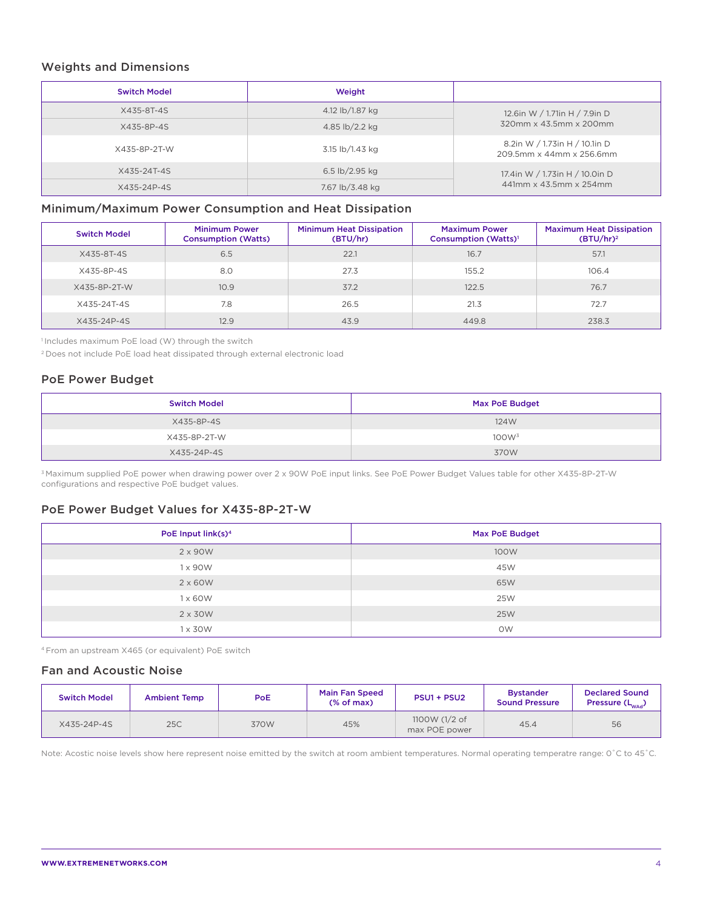### Weights and Dimensions

| <b>Switch Model</b> | Weight           |                                                           |  |  |  |
|---------------------|------------------|-----------------------------------------------------------|--|--|--|
| X435-8T-4S          | 4.12 lb/1.87 kg  | 12.6in W / 1.71in H / 7.9in D                             |  |  |  |
| X435-8P-4S          | 4.85 lb/2.2 kg   | 320mm x 43.5mm x 200mm                                    |  |  |  |
| X435-8P-2T-W        | 3.15 lb/1.43 kg  | 8.2in W / 1.73in H / 10.1in D<br>209.5mm x 44mm x 256.6mm |  |  |  |
| X435-24T-4S         | 6.5 $lb/2.95$ kg | 17.4in W / 1.73in H / 10.0in D                            |  |  |  |
| X435-24P-4S         | 7.67 lb/3.48 kg  | 441mm x 43.5mm x 254mm                                    |  |  |  |

## Minimum/Maximum Power Consumption and Heat Dissipation

| <b>Switch Model</b> | <b>Minimum Power</b><br><b>Consumption (Watts)</b> | <b>Minimum Heat Dissipation</b><br>(BTU/hr) | <b>Maximum Power</b><br>Consumption (Watts) <sup>1</sup> | <b>Maximum Heat Dissipation</b><br>$(BTU/hr)^2$ |
|---------------------|----------------------------------------------------|---------------------------------------------|----------------------------------------------------------|-------------------------------------------------|
| X435-8T-4S          | 6.5                                                | 22.1                                        | 16.7                                                     | 57.1                                            |
| X435-8P-4S          | 8.0                                                | 27.3                                        | 155.2                                                    | 106.4                                           |
| X435-8P-2T-W        | 10.9                                               | 37.2                                        | 122.5                                                    | 76.7                                            |
| X435-24T-4S         | 7.8                                                | 26.5                                        | 21.3                                                     | 72.7                                            |
| X435-24P-4S         | 12.9                                               | 43.9                                        | 449.8                                                    | 238.3                                           |

<sup>1</sup> Includes maximum PoE load (W) through the switch

2 Does not include PoE load heat dissipated through external electronic load

## PoE Power Budget

| <b>Switch Model</b> | <b>Max PoE Budget</b> |
|---------------------|-----------------------|
| X435-8P-4S          | 124W                  |
| X435-8P-2T-W        | 100W <sup>3</sup>     |
| X435-24P-4S         | 370W                  |

3 Maximum supplied PoE power when drawing power over 2 x 90W PoE input links. See PoE Power Budget Values table for other X435-8P-2T-W configurations and respective PoE budget values.

## PoE Power Budget Values for X435-8P-2T-W

| PoE Input link(s) <sup>4</sup> | <b>Max PoE Budget</b> |
|--------------------------------|-----------------------|
| 2 x 90W                        | 100W                  |
| 1 x 90 W                       | 45W                   |
| $2 \times 60W$                 | 65W                   |
| $1 \times 60W$                 | 25W                   |
| $2 \times 30W$                 | 25W                   |
| 1 x 30W                        | <b>OW</b>             |

4 From an upstream X465 (or equivalent) PoE switch

## Fan and Acoustic Noise

| <b>Switch Model</b> | <b>Ambient Temp</b> | PoE  | <b>Main Fan Speed</b><br>$(%$ of max) | PSU1 + PSU2                    | <b>Bystander</b><br><b>Sound Pressure</b> | <b>Declared Sound</b><br>Pressure $(L_{\text{wad}})$ |
|---------------------|---------------------|------|---------------------------------------|--------------------------------|-------------------------------------------|------------------------------------------------------|
| X435-24P-4S         | 25C                 | 370W | 45%                                   | 1100W (1/2 of<br>max POE power | 45.4                                      | 56                                                   |

Note: Acostic noise levels show here represent noise emitted by the switch at room ambient temperatures. Normal operating temperatre range: 0˚C to 45˚C.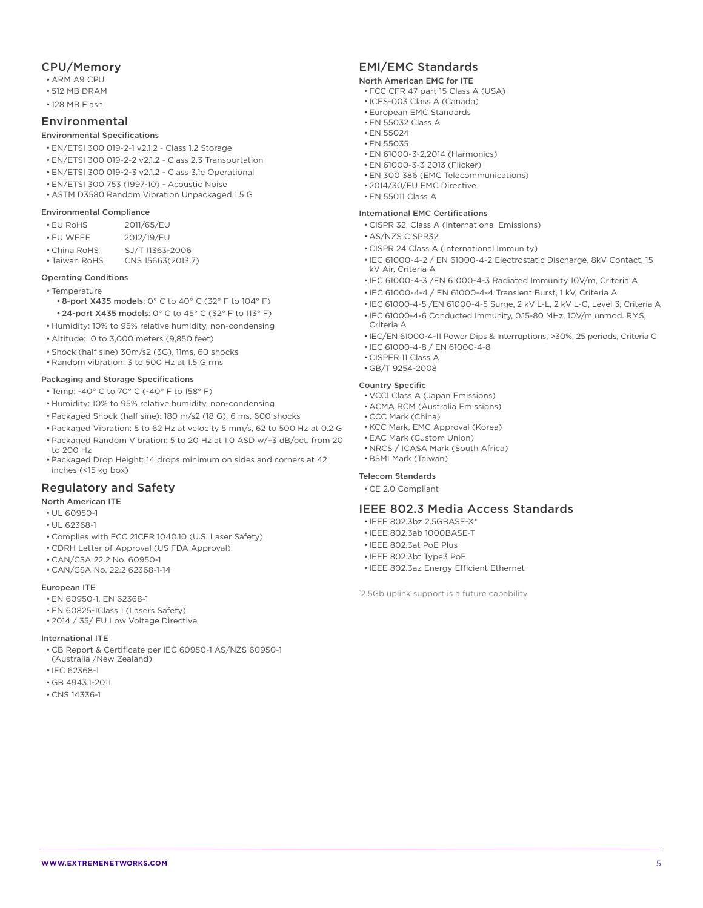### CPU/Memory

- ARM A9 CPU
- 512 MB DRAM
- 128 MB Flash

### Environmental

#### Environmental Specifications

- EN/ETSI 300 019-2-1 v2.1.2 Class 1.2 Storage
- EN/ETSI 300 019-2-2 v2.1.2 Class 2.3 Transportation
- EN/ETSI 300 019-2-3 v2.1.2 Class 3.1e Operational
- EN/ETSI 300 753 (1997-10) Acoustic Noise
- ASTM D3580 Random Vibration Unpackaged 1.5 G

#### Environmental Compliance

- EU RoHS 2011/65/EU
- EU WEEE 2012/19/EU
- China RoHS SJ/T 11363-2006
- Taiwan RoHS CNS 15663(2013.7)

#### Operating Conditions

- Temperature
	- 8-port X435 models: 0° C to 40° C (32° F to 104° F) • 24-port X435 models: 0° C to 45° C (32° F to 113° F)
- Humidity: 10% to 95% relative humidity, non-condensing
- Altitude: 0 to 3,000 meters (9,850 feet)
- Shock (half sine) 30m/s2 (3G), 11ms, 60 shocks
- Random vibration: 3 to 500 Hz at 1.5 G rms

#### Packaging and Storage Specifications

- Temp: -40° C to 70° C (-40° F to 158° F)
- Humidity: 10% to 95% relative humidity, non-condensing
- Packaged Shock (half sine): 180 m/s2 (18 G), 6 ms, 600 shocks
- Packaged Vibration: 5 to 62 Hz at velocity 5 mm/s, 62 to 500 Hz at 0.2 G
- Packaged Random Vibration: 5 to 20 Hz at 1.0 ASD w/–3 dB/oct. from 20 to 200 Hz
- Packaged Drop Height: 14 drops minimum on sides and corners at 42 inches (<15 kg box)

### Regulatory and Safety

#### North American ITE

- UL 60950-1
- UL 62368-1
- Complies with FCC 21CFR 1040.10 (U.S. Laser Safety)
- CDRH Letter of Approval (US FDA Approval)
- CAN/CSA 22.2 No. 60950-1
- CAN/CSA No. 22.2 62368-1-14

#### European ITE

- EN 60950-1, EN 62368-1
- EN 60825-1Class 1 (Lasers Safety)
- 2014 / 35/ EU Low Voltage Directive

#### International ITE

- CB Report & Certificate per IEC 60950-1 AS/NZS 60950-1
- (Australia /New Zealand)
- IEC 62368-1
- GB 4943.1-2011
- CNS 14336-1

## EMI/EMC Standards

#### North American EMC for ITE

- FCC CFR 47 part 15 Class A (USA)
- ICES-003 Class A (Canada)
- European EMC Standards
- EN 55032 Class A • EN 55024
- EN 55035
- EN 61000-3-2,2014 (Harmonics)
- EN 61000-3-3 2013 (Flicker)
- EN 300 386 (EMC Telecommunications)
- 2014/30/EU EMC Directive
- EN 55011 Class A

#### International EMC Certifications

- CISPR 32, Class A (International Emissions)
- AS/NZS CISPR32
- CISPR 24 Class A (International Immunity)
- IEC 61000-4-2 / EN 61000-4-2 Electrostatic Discharge, 8kV Contact, 15 kV Air, Criteria A
- IEC 61000-4-3 /EN 61000-4-3 Radiated Immunity 10V/m, Criteria A
- IEC 61000-4-4 / EN 61000-4-4 Transient Burst, 1 kV, Criteria A
- IEC 61000-4-5 /EN 61000-4-5 Surge, 2 kV L-L, 2 kV L-G, Level 3, Criteria A
- IEC 61000-4-6 Conducted Immunity, 0.15-80 MHz, 10V/m unmod. RMS, Criteria A
- IEC/EN 61000-4-11 Power Dips & Interruptions, >30%, 25 periods, Criteria C
- IEC 61000-4-8 / EN 61000-4-8
- CISPER 11 Class A
- GB/T 9254-2008

#### Country Specific

- VCCI Class A (Japan Emissions)
- ACMA RCM (Australia Emissions)
- CCC Mark (China)
- KCC Mark, EMC Approval (Korea)
- EAC Mark (Custom Union)
- NRCS / ICASA Mark (South Africa)
- BSMI Mark (Taiwan)

### Telecom Standards

• CE 2.0 Compliant

### IEEE 802.3 Media Access Standards

- IEEE 802.3bz 2.5GBASE-X\*
- IEEE 802.3ab 1000BASE-T
- IEEE 802.3at PoE Plus
- IEEE 802.3bt Type3 PoE
- IEEE 802.3az Energy Efficient Ethernet

\* 2.5Gb uplink support is a future capability